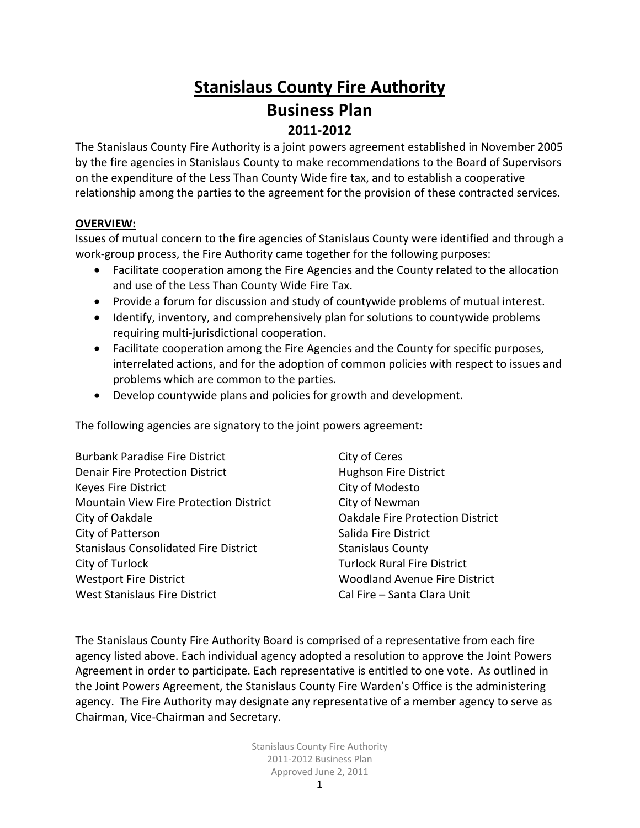# **Stanislaus County Fire Authority Business Plan 2011‐2012**

The Stanislaus County Fire Authority is a joint powers agreement established in November 2005 by the fire agencies in Stanislaus County to make recommendations to the Board of Supervisors on the expenditure of the Less Than County Wide fire tax, and to establish a cooperative relationship among the parties to the agreement for the provision of these contracted services.

### **OVERVIEW:**

Issues of mutual concern to the fire agencies of Stanislaus County were identified and through a work‐group process, the Fire Authority came together for the following purposes:

- Facilitate cooperation among the Fire Agencies and the County related to the allocation and use of the Less Than County Wide Fire Tax.
- Provide a forum for discussion and study of countywide problems of mutual interest.
- Identify, inventory, and comprehensively plan for solutions to countywide problems requiring multi‐jurisdictional cooperation.
- Facilitate cooperation among the Fire Agencies and the County for specific purposes, interrelated actions, and for the adoption of common policies with respect to issues and problems which are common to the parties.
- Develop countywide plans and policies for growth and development.

The following agencies are signatory to the joint powers agreement:

| <b>Burbank Paradise Fire District</b>        | City of Ceres                           |
|----------------------------------------------|-----------------------------------------|
| <b>Denair Fire Protection District</b>       | <b>Hughson Fire District</b>            |
| Keyes Fire District                          | City of Modesto                         |
| Mountain View Fire Protection District       | City of Newman                          |
| City of Oakdale                              | <b>Oakdale Fire Protection District</b> |
| City of Patterson                            | Salida Fire District                    |
| <b>Stanislaus Consolidated Fire District</b> | <b>Stanislaus County</b>                |
| City of Turlock                              | <b>Turlock Rural Fire District</b>      |
| <b>Westport Fire District</b>                | <b>Woodland Avenue Fire District</b>    |
| <b>West Stanislaus Fire District</b>         | Cal Fire - Santa Clara Unit             |
|                                              |                                         |

The Stanislaus County Fire Authority Board is comprised of a representative from each fire agency listed above. Each individual agency adopted a resolution to approve the Joint Powers Agreement in order to participate. Each representative is entitled to one vote. As outlined in the Joint Powers Agreement, the Stanislaus County Fire Warden's Office is the administering agency. The Fire Authority may designate any representative of a member agency to serve as Chairman, Vice‐Chairman and Secretary.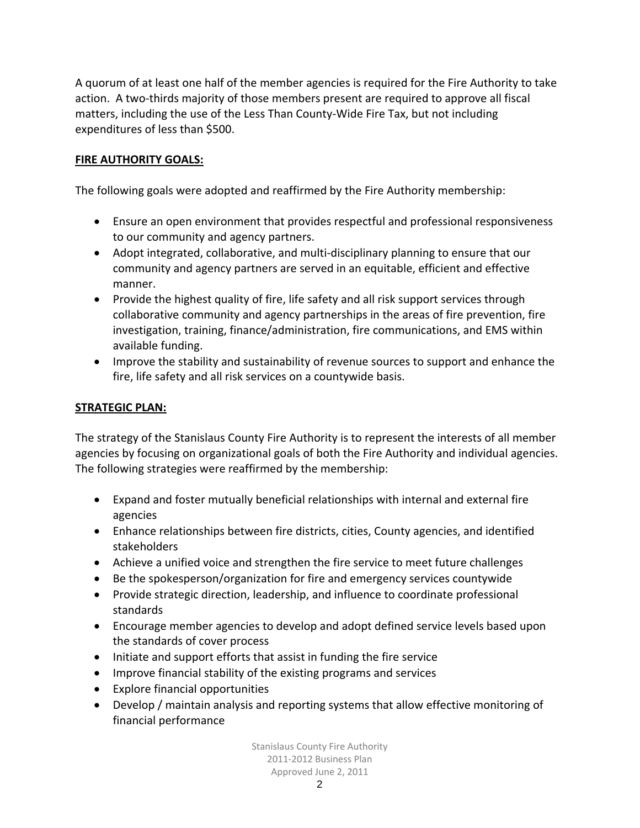A quorum of at least one half of the member agencies is required for the Fire Authority to take action. A two‐thirds majority of those members present are required to approve all fiscal matters, including the use of the Less Than County‐Wide Fire Tax, but not including expenditures of less than \$500.

### **FIRE AUTHORITY GOALS:**

The following goals were adopted and reaffirmed by the Fire Authority membership:

- Ensure an open environment that provides respectful and professional responsiveness to our community and agency partners.
- Adopt integrated, collaborative, and multi‐disciplinary planning to ensure that our community and agency partners are served in an equitable, efficient and effective manner.
- Provide the highest quality of fire, life safety and all risk support services through collaborative community and agency partnerships in the areas of fire prevention, fire investigation, training, finance/administration, fire communications, and EMS within available funding.
- Improve the stability and sustainability of revenue sources to support and enhance the fire, life safety and all risk services on a countywide basis.

### **STRATEGIC PLAN:**

The strategy of the Stanislaus County Fire Authority is to represent the interests of all member agencies by focusing on organizational goals of both the Fire Authority and individual agencies. The following strategies were reaffirmed by the membership:

- Expand and foster mutually beneficial relationships with internal and external fire agencies
- Enhance relationships between fire districts, cities, County agencies, and identified stakeholders
- Achieve a unified voice and strengthen the fire service to meet future challenges
- Be the spokesperson/organization for fire and emergency services countywide
- Provide strategic direction, leadership, and influence to coordinate professional standards
- Encourage member agencies to develop and adopt defined service levels based upon the standards of cover process
- Initiate and support efforts that assist in funding the fire service
- Improve financial stability of the existing programs and services
- Explore financial opportunities
- Develop / maintain analysis and reporting systems that allow effective monitoring of financial performance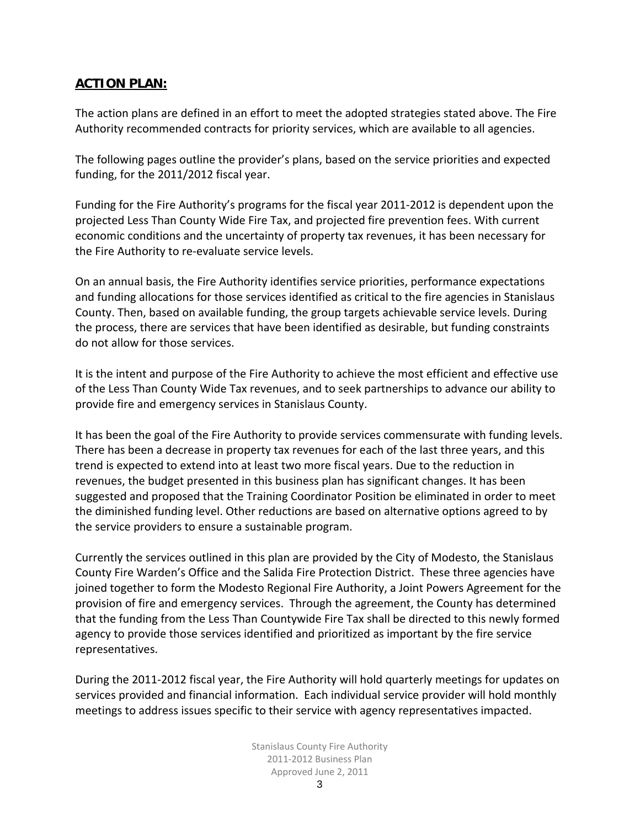# **ACTION PLAN:**

The action plans are defined in an effort to meet the adopted strategies stated above. The Fire Authority recommended contracts for priority services, which are available to all agencies.

The following pages outline the provider's plans, based on the service priorities and expected funding, for the 2011/2012 fiscal year.

Funding for the Fire Authority's programs for the fiscal year 2011‐2012 is dependent upon the projected Less Than County Wide Fire Tax, and projected fire prevention fees. With current economic conditions and the uncertainty of property tax revenues, it has been necessary for the Fire Authority to re‐evaluate service levels.

On an annual basis, the Fire Authority identifies service priorities, performance expectations and funding allocations for those services identified as critical to the fire agencies in Stanislaus County. Then, based on available funding, the group targets achievable service levels. During the process, there are services that have been identified as desirable, but funding constraints do not allow for those services.

It is the intent and purpose of the Fire Authority to achieve the most efficient and effective use of the Less Than County Wide Tax revenues, and to seek partnerships to advance our ability to provide fire and emergency services in Stanislaus County.

It has been the goal of the Fire Authority to provide services commensurate with funding levels. There has been a decrease in property tax revenues for each of the last three years, and this trend is expected to extend into at least two more fiscal years. Due to the reduction in revenues, the budget presented in this business plan has significant changes. It has been suggested and proposed that the Training Coordinator Position be eliminated in order to meet the diminished funding level. Other reductions are based on alternative options agreed to by the service providers to ensure a sustainable program.

Currently the services outlined in this plan are provided by the City of Modesto, the Stanislaus County Fire Warden's Office and the Salida Fire Protection District. These three agencies have joined together to form the Modesto Regional Fire Authority, a Joint Powers Agreement for the provision of fire and emergency services. Through the agreement, the County has determined that the funding from the Less Than Countywide Fire Tax shall be directed to this newly formed agency to provide those services identified and prioritized as important by the fire service representatives.

During the 2011‐2012 fiscal year, the Fire Authority will hold quarterly meetings for updates on services provided and financial information. Each individual service provider will hold monthly meetings to address issues specific to their service with agency representatives impacted.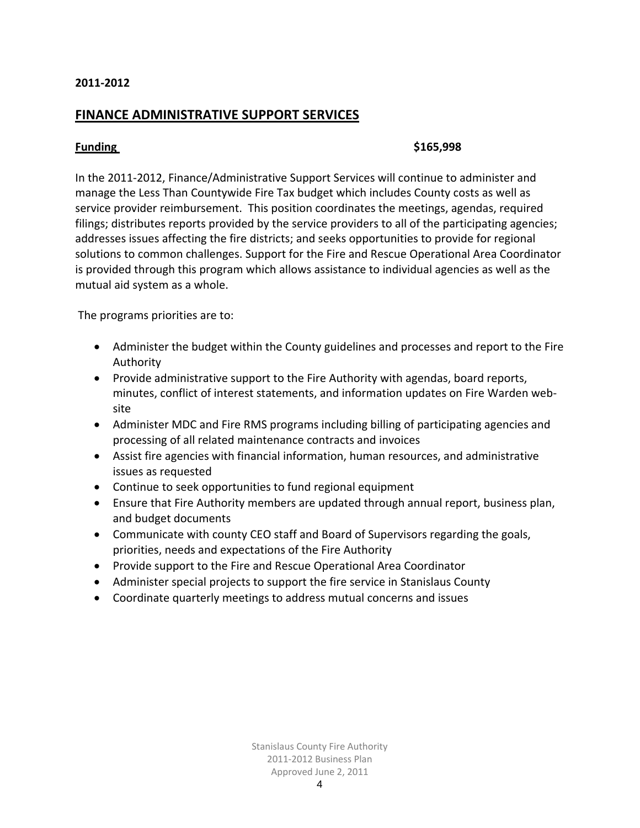### **FINANCE ADMINISTRATIVE SUPPORT SERVICES**

### **Funding \$165,998**

In the 2011‐2012, Finance/Administrative Support Services will continue to administer and manage the Less Than Countywide Fire Tax budget which includes County costs as well as service provider reimbursement. This position coordinates the meetings, agendas, required filings; distributes reports provided by the service providers to all of the participating agencies; addresses issues affecting the fire districts; and seeks opportunities to provide for regional solutions to common challenges. Support for the Fire and Rescue Operational Area Coordinator is provided through this program which allows assistance to individual agencies as well as the mutual aid system as a whole.

The programs priorities are to:

- Administer the budget within the County guidelines and processes and report to the Fire Authority
- Provide administrative support to the Fire Authority with agendas, board reports, minutes, conflict of interest statements, and information updates on Fire Warden web‐ site
- Administer MDC and Fire RMS programs including billing of participating agencies and processing of all related maintenance contracts and invoices
- Assist fire agencies with financial information, human resources, and administrative issues as requested
- Continue to seek opportunities to fund regional equipment
- Ensure that Fire Authority members are updated through annual report, business plan, and budget documents
- Communicate with county CEO staff and Board of Supervisors regarding the goals, priorities, needs and expectations of the Fire Authority
- Provide support to the Fire and Rescue Operational Area Coordinator
- Administer special projects to support the fire service in Stanislaus County
- Coordinate quarterly meetings to address mutual concerns and issues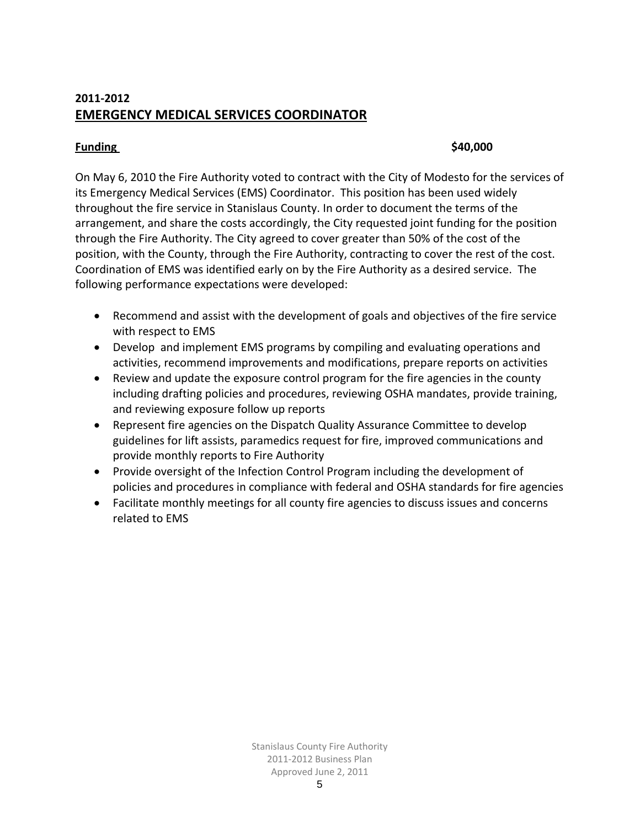# **2011‐2012 EMERGENCY MEDICAL SERVICES COORDINATOR**

### **Funding \$40,000**

On May 6, 2010 the Fire Authority voted to contract with the City of Modesto for the services of its Emergency Medical Services (EMS) Coordinator. This position has been used widely throughout the fire service in Stanislaus County. In order to document the terms of the arrangement, and share the costs accordingly, the City requested joint funding for the position through the Fire Authority. The City agreed to cover greater than 50% of the cost of the position, with the County, through the Fire Authority, contracting to cover the rest of the cost. Coordination of EMS was identified early on by the Fire Authority as a desired service. The following performance expectations were developed:

- Recommend and assist with the development of goals and objectives of the fire service with respect to EMS
- Develop and implement EMS programs by compiling and evaluating operations and activities, recommend improvements and modifications, prepare reports on activities
- Review and update the exposure control program for the fire agencies in the county including drafting policies and procedures, reviewing OSHA mandates, provide training, and reviewing exposure follow up reports
- Represent fire agencies on the Dispatch Quality Assurance Committee to develop guidelines for lift assists, paramedics request for fire, improved communications and provide monthly reports to Fire Authority
- Provide oversight of the Infection Control Program including the development of policies and procedures in compliance with federal and OSHA standards for fire agencies
- Facilitate monthly meetings for all county fire agencies to discuss issues and concerns related to EMS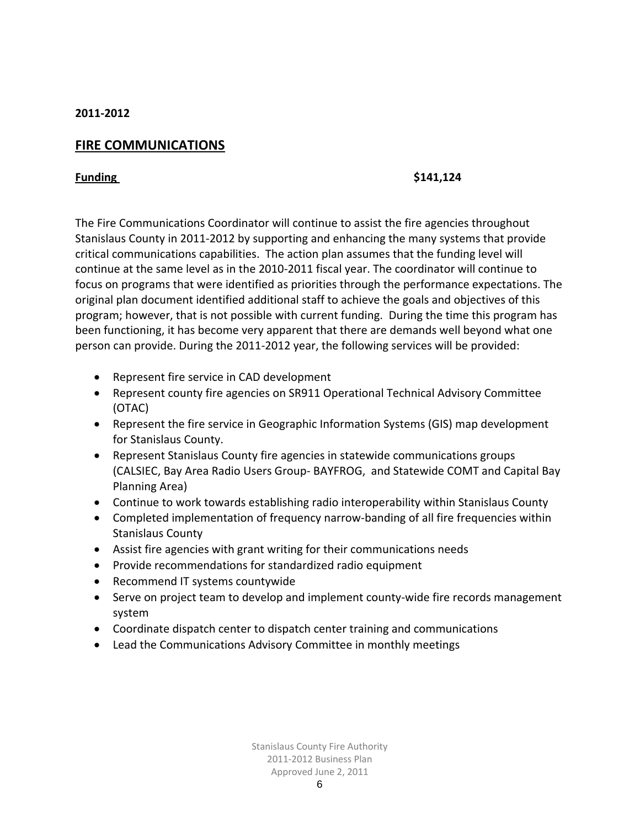# **FIRE COMMUNICATIONS**

### **Funding \$141,124**

The Fire Communications Coordinator will continue to assist the fire agencies throughout Stanislaus County in 2011‐2012 by supporting and enhancing the many systems that provide critical communications capabilities. The action plan assumes that the funding level will continue at the same level as in the 2010‐2011 fiscal year. The coordinator will continue to focus on programs that were identified as priorities through the performance expectations. The original plan document identified additional staff to achieve the goals and objectives of this program; however, that is not possible with current funding. During the time this program has been functioning, it has become very apparent that there are demands well beyond what one person can provide. During the 2011‐2012 year, the following services will be provided:

- Represent fire service in CAD development
- Represent county fire agencies on SR911 Operational Technical Advisory Committee (OTAC)
- Represent the fire service in Geographic Information Systems (GIS) map development for Stanislaus County.
- Represent Stanislaus County fire agencies in statewide communications groups (CALSIEC, Bay Area Radio Users Group‐ BAYFROG, and Statewide COMT and Capital Bay Planning Area)
- Continue to work towards establishing radio interoperability within Stanislaus County
- Completed implementation of frequency narrow-banding of all fire frequencies within Stanislaus County
- Assist fire agencies with grant writing for their communications needs
- Provide recommendations for standardized radio equipment
- Recommend IT systems countywide
- Serve on project team to develop and implement county‐wide fire records management system
- Coordinate dispatch center to dispatch center training and communications
- Lead the Communications Advisory Committee in monthly meetings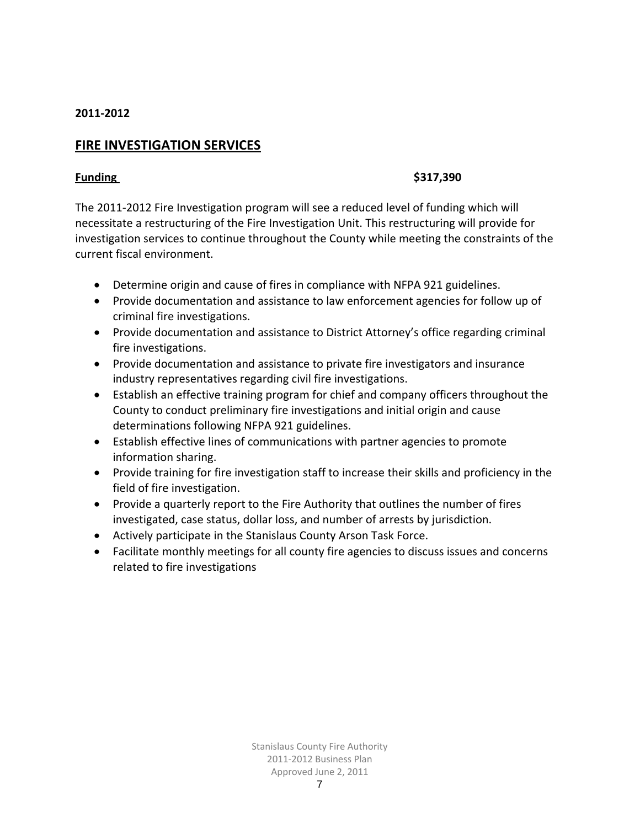# **FIRE INVESTIGATION SERVICES**

### **Funding \$317,390**

The 2011‐2012 Fire Investigation program will see a reduced level of funding which will necessitate a restructuring of the Fire Investigation Unit. This restructuring will provide for investigation services to continue throughout the County while meeting the constraints of the current fiscal environment.

- Determine origin and cause of fires in compliance with NFPA 921 guidelines.
- Provide documentation and assistance to law enforcement agencies for follow up of criminal fire investigations.
- Provide documentation and assistance to District Attorney's office regarding criminal fire investigations.
- Provide documentation and assistance to private fire investigators and insurance industry representatives regarding civil fire investigations.
- Establish an effective training program for chief and company officers throughout the County to conduct preliminary fire investigations and initial origin and cause determinations following NFPA 921 guidelines.
- Establish effective lines of communications with partner agencies to promote information sharing.
- Provide training for fire investigation staff to increase their skills and proficiency in the field of fire investigation.
- Provide a quarterly report to the Fire Authority that outlines the number of fires investigated, case status, dollar loss, and number of arrests by jurisdiction.
- Actively participate in the Stanislaus County Arson Task Force.
- Facilitate monthly meetings for all county fire agencies to discuss issues and concerns related to fire investigations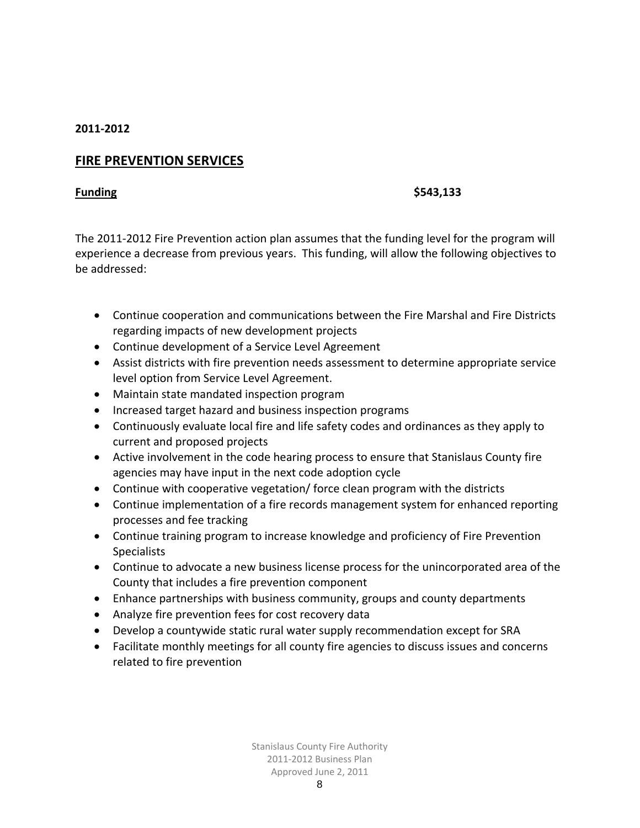# **FIRE PREVENTION SERVICES**

### **Funding \$543,133**

The 2011‐2012 Fire Prevention action plan assumes that the funding level for the program will experience a decrease from previous years. This funding, will allow the following objectives to be addressed:

- Continue cooperation and communications between the Fire Marshal and Fire Districts regarding impacts of new development projects
- Continue development of a Service Level Agreement
- Assist districts with fire prevention needs assessment to determine appropriate service level option from Service Level Agreement.
- Maintain state mandated inspection program
- Increased target hazard and business inspection programs
- Continuously evaluate local fire and life safety codes and ordinances as they apply to current and proposed projects
- Active involvement in the code hearing process to ensure that Stanislaus County fire agencies may have input in the next code adoption cycle
- Continue with cooperative vegetation/ force clean program with the districts
- Continue implementation of a fire records management system for enhanced reporting processes and fee tracking
- Continue training program to increase knowledge and proficiency of Fire Prevention **Specialists**
- Continue to advocate a new business license process for the unincorporated area of the County that includes a fire prevention component
- Enhance partnerships with business community, groups and county departments
- Analyze fire prevention fees for cost recovery data
- Develop a countywide static rural water supply recommendation except for SRA
- Facilitate monthly meetings for all county fire agencies to discuss issues and concerns related to fire prevention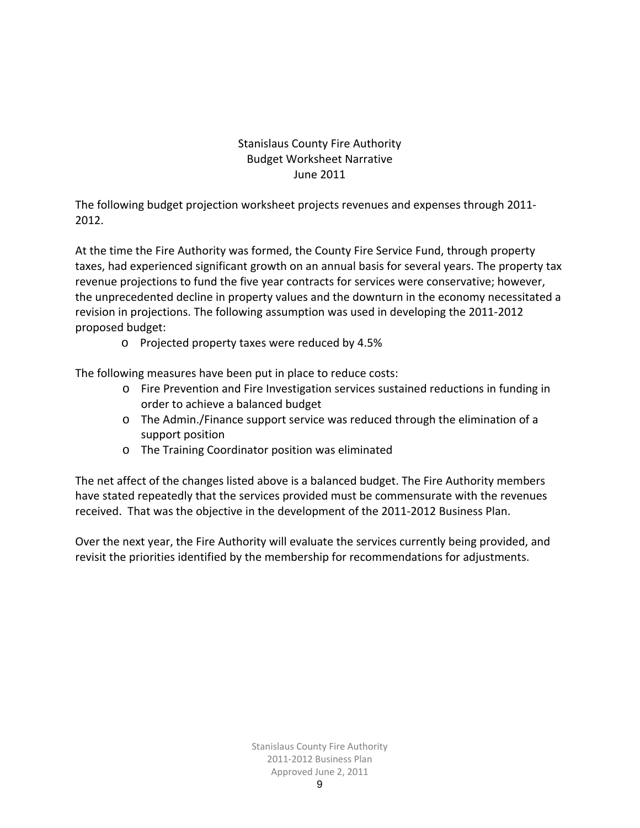# Stanislaus County Fire Authority Budget Worksheet Narrative June 2011

The following budget projection worksheet projects revenues and expenses through 2011‐ 2012.

At the time the Fire Authority was formed, the County Fire Service Fund, through property taxes, had experienced significant growth on an annual basis for several years. The property tax revenue projections to fund the five year contracts for services were conservative; however, the unprecedented decline in property values and the downturn in the economy necessitated a revision in projections. The following assumption was used in developing the 2011‐2012 proposed budget:

o Projected property taxes were reduced by 4.5%

The following measures have been put in place to reduce costs:

- o Fire Prevention and Fire Investigation services sustained reductions in funding in order to achieve a balanced budget
- o The Admin./Finance support service was reduced through the elimination of a support position
- o The Training Coordinator position was eliminated

The net affect of the changes listed above is a balanced budget. The Fire Authority members have stated repeatedly that the services provided must be commensurate with the revenues received. That was the objective in the development of the 2011‐2012 Business Plan.

Over the next year, the Fire Authority will evaluate the services currently being provided, and revisit the priorities identified by the membership for recommendations for adjustments.